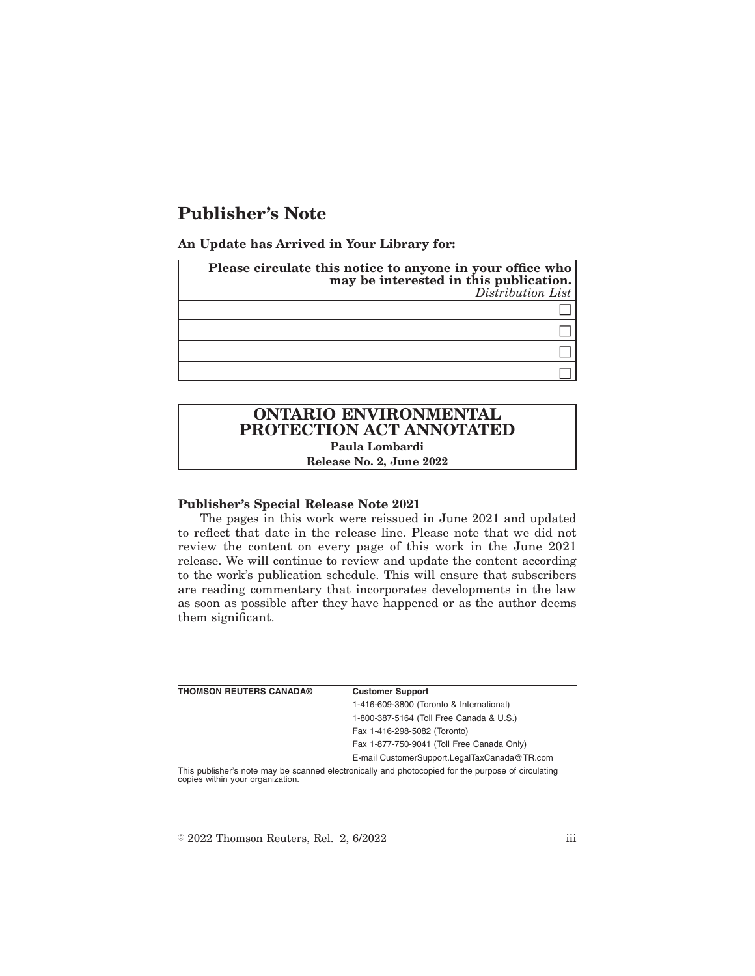# **Publisher's Note**

**An Update has Arrived in Your Library for:**

| Please circulate this notice to anyone in your office who<br>may be interested in this publication.<br>Distribution List |  |
|--------------------------------------------------------------------------------------------------------------------------|--|
|                                                                                                                          |  |
|                                                                                                                          |  |
|                                                                                                                          |  |
|                                                                                                                          |  |

## **ONTARIO ENVIRONMENTAL PROTECTION ACT ANNOTATED Paula Lombardi Release No. 2, June 2022**

#### **Publisher's Special Release Note 2021**

The pages in this work were reissued in June 2021 and updated to reflect that date in the release line. Please note that we did not review the content on every page of this work in the June 2021 release. We will continue to review and update the content according to the work's publication schedule. This will ensure that subscribers are reading commentary that incorporates developments in the law as soon as possible after they have happened or as the author deems them significant.

| <b>THOMSON REUTERS CANADA®</b>   | <b>Customer Support</b>                                                                            |
|----------------------------------|----------------------------------------------------------------------------------------------------|
|                                  | 1-416-609-3800 (Toronto & International)                                                           |
|                                  | 1-800-387-5164 (Toll Free Canada & U.S.)                                                           |
|                                  | Fax 1-416-298-5082 (Toronto)                                                                       |
|                                  | Fax 1-877-750-9041 (Toll Free Canada Only)                                                         |
|                                  | E-mail CustomerSupport.LegalTaxCanada@TR.com                                                       |
| copies within your organization. | This publisher's note may be scanned electronically and photocopied for the purpose of circulating |

 $\textdegree$  2022 Thomson Reuters, Rel. 2, 6/2022 iii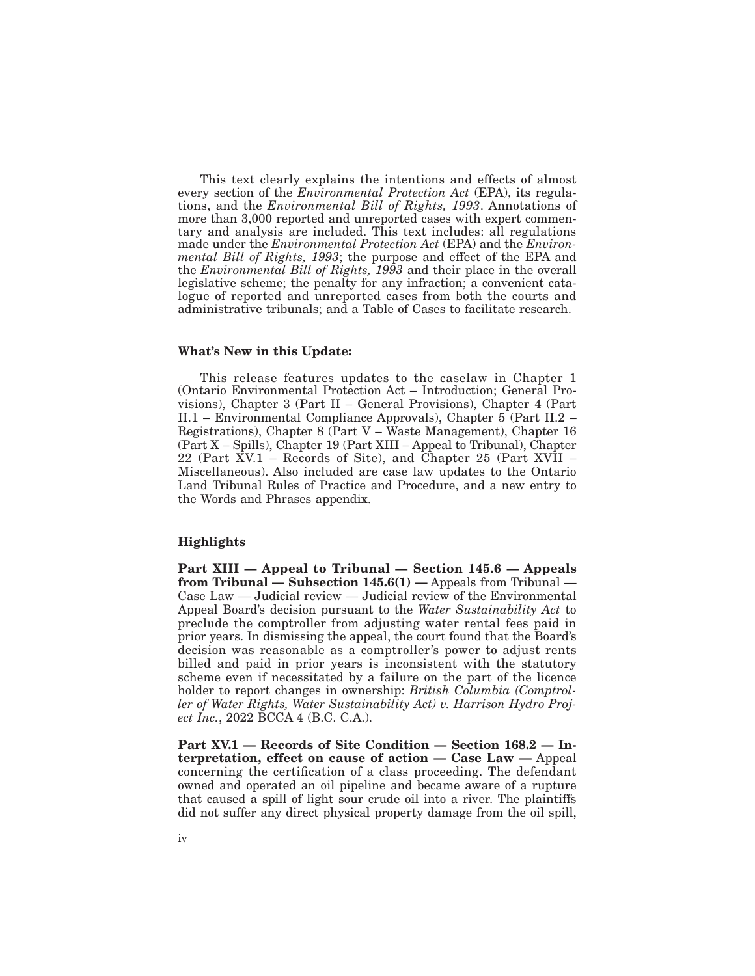This text clearly explains the intentions and effects of almost every section of the *Environmental Protection Act* (EPA), its regulations, and the *Environmental Bill of Rights, 1993*. Annotations of more than 3,000 reported and unreported cases with expert commentary and analysis are included. This text includes: all regulations made under the *Environmental Protection Act* (EPA) and the *Environmental Bill of Rights, 1993*; the purpose and effect of the EPA and the *Environmental Bill of Rights, 1993* and their place in the overall legislative scheme; the penalty for any infraction; a convenient catalogue of reported and unreported cases from both the courts and administrative tribunals; and a Table of Cases to facilitate research.

#### **What's New in this Update:**

This release features updates to the caselaw in Chapter 1 (Ontario Environmental Protection Act – Introduction; General Provisions), Chapter 3 (Part II – General Provisions), Chapter 4 (Part II.1 – Environmental Compliance Approvals), Chapter 5 (Part II.2 – Registrations), Chapter 8 (Part V – Waste Management), Chapter 16 (Part X – Spills), Chapter 19 (Part XIII – Appeal to Tribunal), Chapter 22 (Part XV.1 – Records of Site), and Chapter 25 (Part XVII – Miscellaneous). Also included are case law updates to the Ontario Land Tribunal Rules of Practice and Procedure, and a new entry to the Words and Phrases appendix.

#### **Highlights**

**Part XIII — Appeal to Tribunal — Section 145.6 — Appeals from Tribunal — Subsection 145.6(1) —** Appeals from Tribunal — Case Law — Judicial review — Judicial review of the Environmental Appeal Board's decision pursuant to the *Water Sustainability Act* to preclude the comptroller from adjusting water rental fees paid in prior years. In dismissing the appeal, the court found that the Board's decision was reasonable as a comptroller's power to adjust rents billed and paid in prior years is inconsistent with the statutory scheme even if necessitated by a failure on the part of the licence holder to report changes in ownership: *British Columbia (Comptroller of Water Rights, Water Sustainability Act) v. Harrison Hydro Project Inc.*, 2022 BCCA 4 (B.C. C.A.).

**Part XV.1 — Records of Site Condition — Section 168.2 — Interpretation, effect on cause of action — Case Law —** Appeal concerning the certification of a class proceeding. The defendant owned and operated an oil pipeline and became aware of a rupture that caused a spill of light sour crude oil into a river. The plaintiffs did not suffer any direct physical property damage from the oil spill,